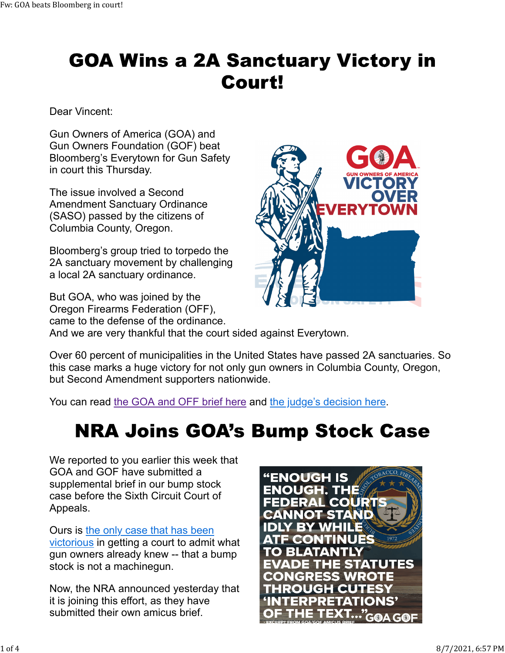## **GOA Wins a 2A Sanctuary Victory in Court!**

Dear Vincent:

Gun Owners of America (GOA) and Gun Owners Foundation (GOF) beat Bloomberg's Everytown for Gun Safety in court this Thursday.

The issue involved a Second Amendment Sanctuary Ordinance (SASO) passed by the citizens of Columbia County, Oregon.

Bloomberg's group tried to torpedo the 2A sanctuary movement by challenging a local 2A sanctuary ordinance.

But GOA, who was joined by the Oregon Firearms Federation (OFF), came to the defense of the ordinance. And we are very thankful that the court sided against Everytown.

Over 60 percent of municipalities in the United States have passed 2A sanctuaries. So this case marks a huge victory for not only gun owners in Columbia County, Oregon, but Second Amendment supporters nationwide.

You can read the GOA and OFF brief here and the judge's decision here.

#### **NRA Joins GOA's Bump Stock Case**

We reported to you earlier this week that GOA and GOF have submitted a supplemental brief in our bump stock case before the Sixth Circuit Court of Appeals.

Ours is the only case that has been victorious in getting a court to admit what gun owners already knew -- that a bump stock is not a machinegun.

Now, the NRA announced yesterday that it is joining this effort, as they have submitted their own amicus brief.



**TICTC**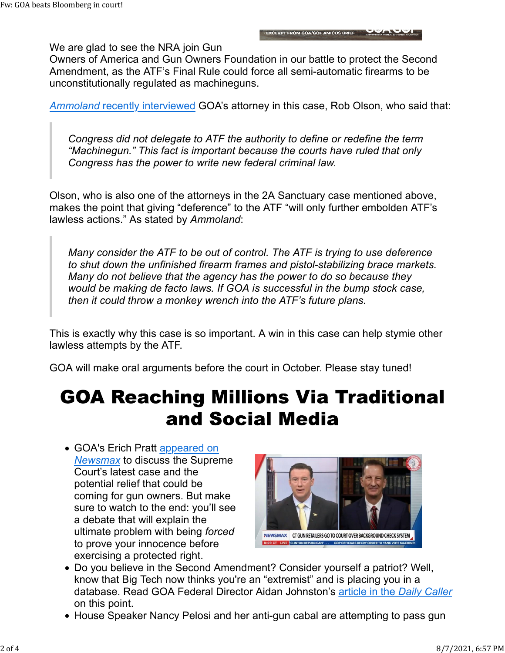We are glad to see the NRA join Gun

Owners of America and Gun Owners Foundation in our battle to protect the Second Amendment, as the ATF's Final Rule could force all semi-automatic firearms to be unconstitutionally regulated as machineguns.

*Ammoland* recently interviewed GOA's attorney in this case, Rob Olson, who said that:

*Congress did not delegate to ATF the authority to define or redefine the term "Machinegun." This fact is important because the courts have ruled that only Congress has the power to write new federal criminal law.*

Olson, who is also one of the attorneys in the 2A Sanctuary case mentioned above, makes the point that giving "deference" to the ATF "will only further embolden ATF's lawless actions." As stated by *Ammoland*:

*Many consider the ATF to be out of control. The ATF is trying to use deference to shut down the unfinished firearm frames and pistol-stabilizing brace markets. Many do not believe that the agency has the power to do so because they would be making de facto laws. If GOA is successful in the bump stock case, then it could throw a monkey wrench into the ATF's future plans.*

This is exactly why this case is so important. A win in this case can help stymie other lawless attempts by the ATF.

GOA will make oral arguments before the court in October. Please stay tuned!

## **GOA Reaching Millions Via Traditional** and Social Media

• GOA's Erich Pratt appeared on *Newsmax* to discuss the Supreme Court's latest case and the potential relief that could be coming for gun owners. But make sure to watch to the end: you'll see a debate that will explain the ultimate problem with being *forced* to prove your innocence before exercising a protected right.



- Do you believe in the Second Amendment? Consider yourself a patriot? Well, know that Big Tech now thinks you're an "extremist" and is placing you in a database. Read GOA Federal Director Aidan Johnston's article in the *Daily Caller* on this point.
- House Speaker Nancy Pelosi and her anti-gun cabal are attempting to pass gun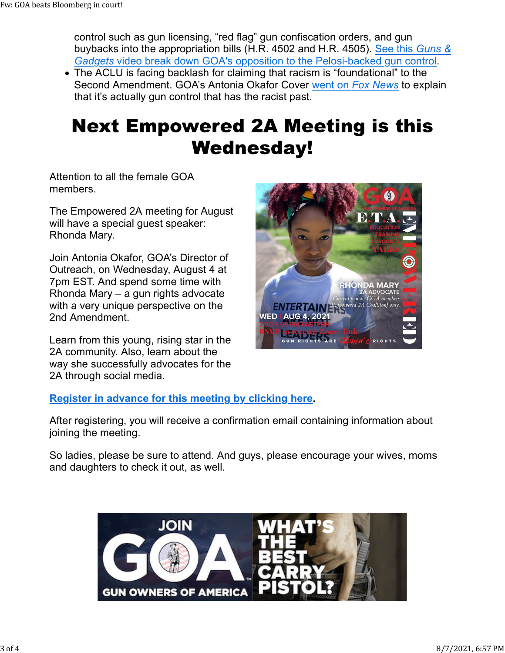control such as gun licensing, "red flag" gun confiscation orders, and gun buybacks into the appropriation bills (H.R. 4502 and H.R. 4505). See this *Guns & Gadgets* video break down GOA's opposition to the Pelosi-backed gun control.

The ACLU is facing backlash for claiming that racism is "foundational" to the Second Amendment. GOA's Antonia Okafor Cover went on *Fox News* to explain that it's actually gun control that has the racist past.

# **Next Empowered 2A Meeting is this Wednesday!**

Attention to all the female GOA members.

The Empowered 2A meeting for August will have a special guest speaker: Rhonda Mary.

Join Antonia Okafor, GOA's Director of Outreach, on Wednesday, August 4 at 7pm EST. And spend some time with Rhonda Mary – a gun rights advocate with a very unique perspective on the 2nd Amendment.

Learn from this young, rising star in the 2A community. Also, learn about the way she successfully advocates for the 2A through social media.



#### **Register in advance for this meeting by clicking here.**

After registering, you will receive a confirmation email containing information about joining the meeting.

So ladies, please be sure to attend. And guys, please encourage your wives, moms and daughters to check it out, as well.